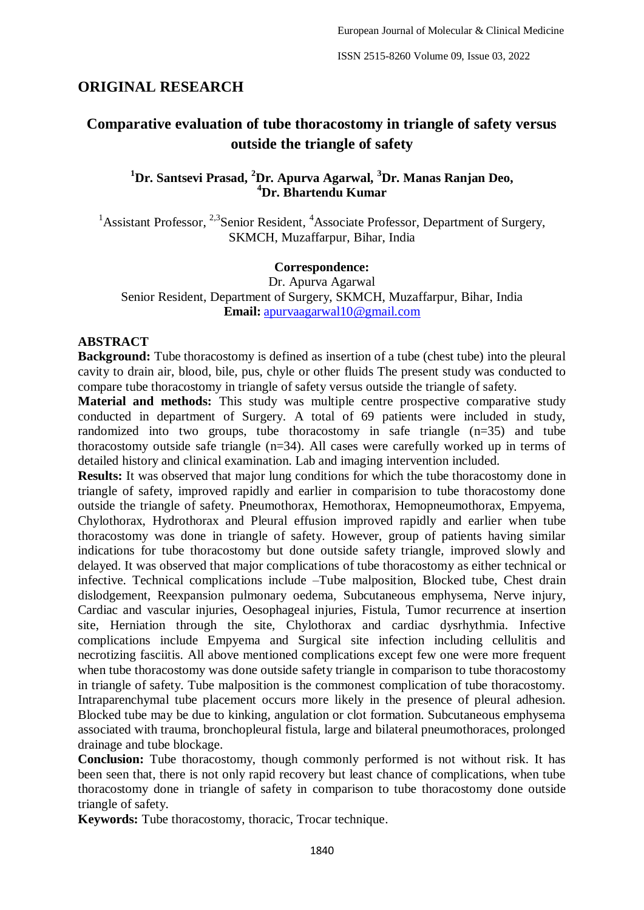#### **ORIGINAL RESEARCH**

# **Comparative evaluation of tube thoracostomy in triangle of safety versus outside the triangle of safety**

# **<sup>1</sup>Dr. Santsevi Prasad, <sup>2</sup>Dr. Apurva Agarwal, <sup>3</sup>Dr. Manas Ranjan Deo, <sup>4</sup>Dr. Bhartendu Kumar**

<sup>1</sup>Assistant Professor,  $2.3$ Senior Resident,  $4$ Associate Professor, Department of Surgery, SKMCH, Muzaffarpur, Bihar, India

#### **Correspondence:**

Dr. Apurva Agarwal Senior Resident, Department of Surgery, SKMCH, Muzaffarpur, Bihar, India **Email:** [apurvaagarwal10@gmail.com](mailto:apurvaagarwal10@gmail.com)

#### **ABSTRACT**

**Background:** Tube thoracostomy is defined as insertion of a tube (chest tube) into the pleural cavity to drain air, blood, bile, pus, chyle or other fluids The present study was conducted to compare tube thoracostomy in triangle of safety versus outside the triangle of safety.

**Material and methods:** This study was multiple centre prospective comparative study conducted in department of Surgery. A total of 69 patients were included in study, randomized into two groups, tube thoracostomy in safe triangle (n=35) and tube thoracostomy outside safe triangle (n=34). All cases were carefully worked up in terms of detailed history and clinical examination. Lab and imaging intervention included.

**Results:** It was observed that major lung conditions for which the tube thoracostomy done in triangle of safety, improved rapidly and earlier in comparision to tube thoracostomy done outside the triangle of safety. Pneumothorax, Hemothorax, Hemopneumothorax, Empyema, Chylothorax, Hydrothorax and Pleural effusion improved rapidly and earlier when tube thoracostomy was done in triangle of safety. However, group of patients having similar indications for tube thoracostomy but done outside safety triangle, improved slowly and delayed. It was observed that major complications of tube thoracostomy as either technical or infective. Technical complications include –Tube malposition, Blocked tube, Chest drain dislodgement, Reexpansion pulmonary oedema, Subcutaneous emphysema, Nerve injury, Cardiac and vascular injuries, Oesophageal injuries, Fistula, Tumor recurrence at insertion site, Herniation through the site, Chylothorax and cardiac dysrhythmia. Infective complications include Empyema and Surgical site infection including cellulitis and necrotizing fasciitis. All above mentioned complications except few one were more frequent when tube thoracostomy was done outside safety triangle in comparison to tube thoracostomy in triangle of safety. Tube malposition is the commonest complication of tube thoracostomy. Intraparenchymal tube placement occurs more likely in the presence of pleural adhesion. Blocked tube may be due to kinking, angulation or clot formation. Subcutaneous emphysema associated with trauma, bronchopleural fistula, large and bilateral pneumothoraces, prolonged drainage and tube blockage.

**Conclusion:** Tube thoracostomy, though commonly performed is not without risk. It has been seen that, there is not only rapid recovery but least chance of complications, when tube thoracostomy done in triangle of safety in comparison to tube thoracostomy done outside triangle of safety.

**Keywords:** Tube thoracostomy, thoracic, Trocar technique.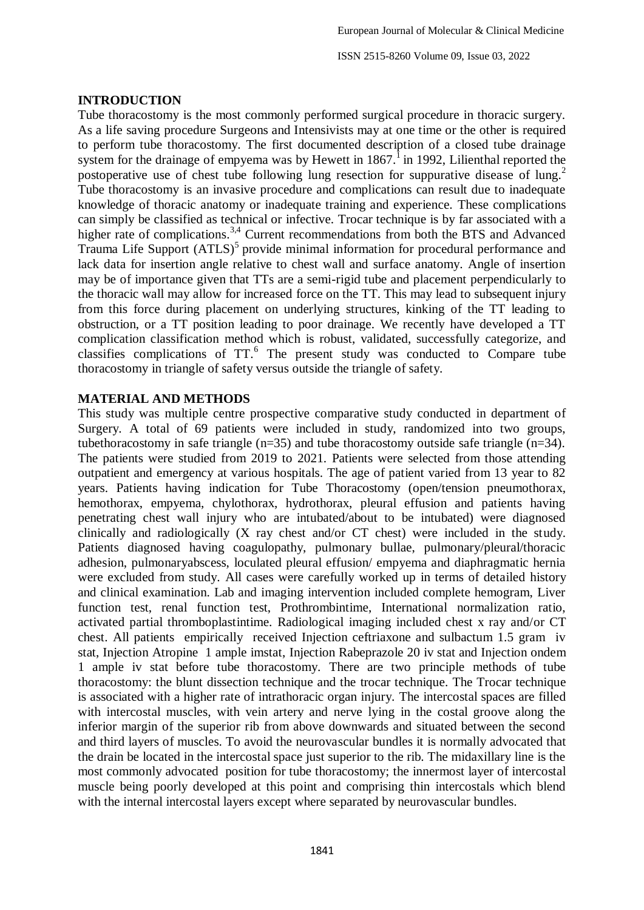ISSN 2515-8260 Volume 09, Issue 03, 2022

#### **INTRODUCTION**

Tube thoracostomy is the most commonly performed surgical procedure in thoracic surgery. As a life saving procedure Surgeons and Intensivists may at one time or the other is required to perform tube thoracostomy. The first documented description of a closed tube drainage system for the drainage of empyema was by Hewett in  $1867$ .<sup>1</sup> in 1992, Lilienthal reported the postoperative use of chest tube following lung resection for suppurative disease of lung.<sup>2</sup> Tube thoracostomy is an invasive procedure and complications can result due to inadequate knowledge of thoracic anatomy or inadequate training and experience. These complications can simply be classified as technical or infective. Trocar technique is by far associated with a higher rate of complications.<sup>3,4</sup> Current recommendations from both the BTS and Advanced Trauma Life Support (ATLS)<sup>5</sup> provide minimal information for procedural performance and lack data for insertion angle relative to chest wall and surface anatomy. Angle of insertion may be of importance given that TTs are a semi-rigid tube and placement perpendicularly to the thoracic wall may allow for increased force on the TT. This may lead to subsequent injury from this force during placement on underlying structures, kinking of the TT leading to obstruction, or a TT position leading to poor drainage. We recently have developed a TT complication classification method which is robust, validated, successfully categorize, and classifies complications of TT.<sup>6</sup> The present study was conducted to Compare tube thoracostomy in triangle of safety versus outside the triangle of safety.

# **MATERIAL AND METHODS**

This study was multiple centre prospective comparative study conducted in department of Surgery. A total of 69 patients were included in study, randomized into two groups, tubethoracostomy in safe triangle  $(n=35)$  and tube thoracostomy outside safe triangle  $(n=34)$ . The patients were studied from 2019 to 2021. Patients were selected from those attending outpatient and emergency at various hospitals. The age of patient varied from 13 year to 82 years. Patients having indication for Tube Thoracostomy (open/tension pneumothorax, hemothorax, empyema, chylothorax, hydrothorax, pleural effusion and patients having penetrating chest wall injury who are intubated/about to be intubated) were diagnosed clinically and radiologically (X ray chest and/or CT chest) were included in the study. Patients diagnosed having coagulopathy, pulmonary bullae, pulmonary/pleural/thoracic adhesion, pulmonaryabscess, loculated pleural effusion/ empyema and diaphragmatic hernia were excluded from study. All cases were carefully worked up in terms of detailed history and clinical examination. Lab and imaging intervention included complete hemogram, Liver function test, renal function test, Prothrombintime, International normalization ratio, activated partial thromboplastintime. Radiological imaging included chest x ray and/or CT chest. All patients empirically received Injection ceftriaxone and sulbactum 1.5 gram iv stat, Injection Atropine 1 ample imstat, Injection Rabeprazole 20 iv stat and Injection ondem 1 ample iv stat before tube thoracostomy. There are two principle methods of tube thoracostomy: the blunt dissection technique and the trocar technique. The Trocar technique is associated with a higher rate of intrathoracic organ injury. The intercostal spaces are filled with intercostal muscles, with vein artery and nerve lying in the costal groove along the inferior margin of the superior rib from above downwards and situated between the second and third layers of muscles. To avoid the neurovascular bundles it is normally advocated that the drain be located in the intercostal space just superior to the rib. The midaxillary line is the most commonly advocated position for tube thoracostomy; the innermost layer of intercostal muscle being poorly developed at this point and comprising thin intercostals which blend with the internal intercostal layers except where separated by neurovascular bundles.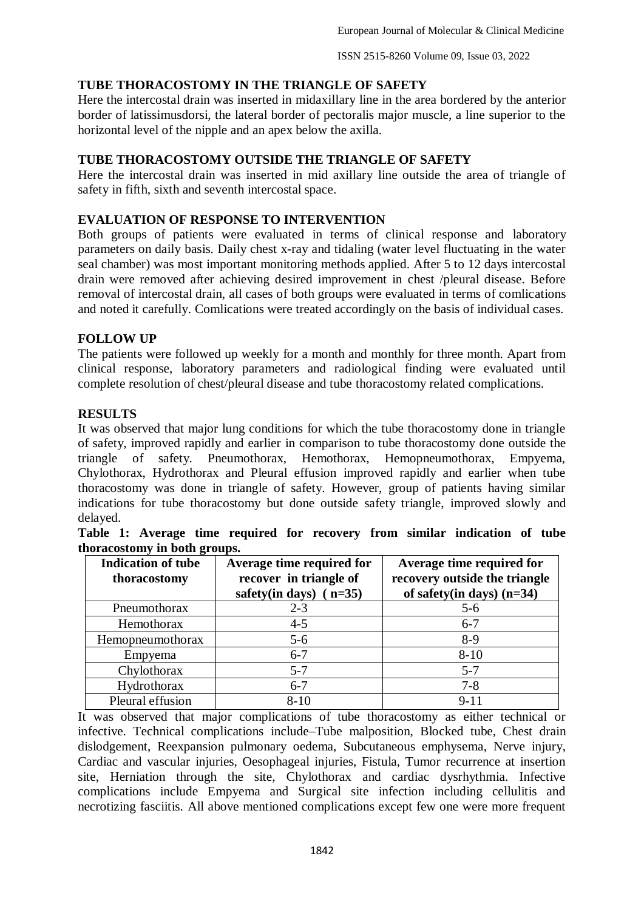# **TUBE THORACOSTOMY IN THE TRIANGLE OF SAFETY**

Here the intercostal drain was inserted in midaxillary line in the area bordered by the anterior border of latissimusdorsi, the lateral border of pectoralis major muscle, a line superior to the horizontal level of the nipple and an apex below the axilla.

## **TUBE THORACOSTOMY OUTSIDE THE TRIANGLE OF SAFETY**

Here the intercostal drain was inserted in mid axillary line outside the area of triangle of safety in fifth, sixth and seventh intercostal space.

# **EVALUATION OF RESPONSE TO INTERVENTION**

Both groups of patients were evaluated in terms of clinical response and laboratory parameters on daily basis. Daily chest x-ray and tidaling (water level fluctuating in the water seal chamber) was most important monitoring methods applied. After 5 to 12 days intercostal drain were removed after achieving desired improvement in chest /pleural disease. Before removal of intercostal drain, all cases of both groups were evaluated in terms of comlications and noted it carefully. Comlications were treated accordingly on the basis of individual cases.

# **FOLLOW UP**

The patients were followed up weekly for a month and monthly for three month. Apart from clinical response, laboratory parameters and radiological finding were evaluated until complete resolution of chest/pleural disease and tube thoracostomy related complications.

#### **RESULTS**

It was observed that major lung conditions for which the tube thoracostomy done in triangle of safety, improved rapidly and earlier in comparison to tube thoracostomy done outside the triangle of safety. Pneumothorax, Hemothorax, Hemopneumothorax, Empyema, Chylothorax, Hydrothorax and Pleural effusion improved rapidly and earlier when tube thoracostomy was done in triangle of safety. However, group of patients having similar indications for tube thoracostomy but done outside safety triangle, improved slowly and delayed.

| <b>Indication of tube</b><br>thoracostomy | Average time required for<br>recover in triangle of<br>safety(in days) $(n=35)$ | Average time required for<br>recovery outside the triangle<br>of safety(in days) $(n=34)$ |
|-------------------------------------------|---------------------------------------------------------------------------------|-------------------------------------------------------------------------------------------|
| Pneumothorax                              | $2 - 3$                                                                         | $5 - 6$                                                                                   |
| Hemothorax                                | $4 - 5$                                                                         | $6 - 7$                                                                                   |
| Hemopheumothorax                          | $5 - 6$                                                                         | $8-9$                                                                                     |
| Empyema                                   | $6 - 7$                                                                         | $8 - 10$                                                                                  |
| Chylothorax                               | $5 - 7$                                                                         | $5 - 7$                                                                                   |
| Hydrothorax                               | $6 - 7$                                                                         | $7 - 8$                                                                                   |
| Pleural effusion                          | $8 - 10$                                                                        | $9 - 11$                                                                                  |

|  |                              |  |  |  | Table 1: Average time required for recovery from similar indication of tube |  |
|--|------------------------------|--|--|--|-----------------------------------------------------------------------------|--|
|  | thoracostomy in both groups. |  |  |  |                                                                             |  |

It was observed that major complications of tube thoracostomy as either technical or infective. Technical complications include–Tube malposition, Blocked tube, Chest drain dislodgement, Reexpansion pulmonary oedema, Subcutaneous emphysema, Nerve injury, Cardiac and vascular injuries, Oesophageal injuries, Fistula, Tumor recurrence at insertion site, Herniation through the site, Chylothorax and cardiac dysrhythmia. Infective complications include Empyema and Surgical site infection including cellulitis and necrotizing fasciitis. All above mentioned complications except few one were more frequent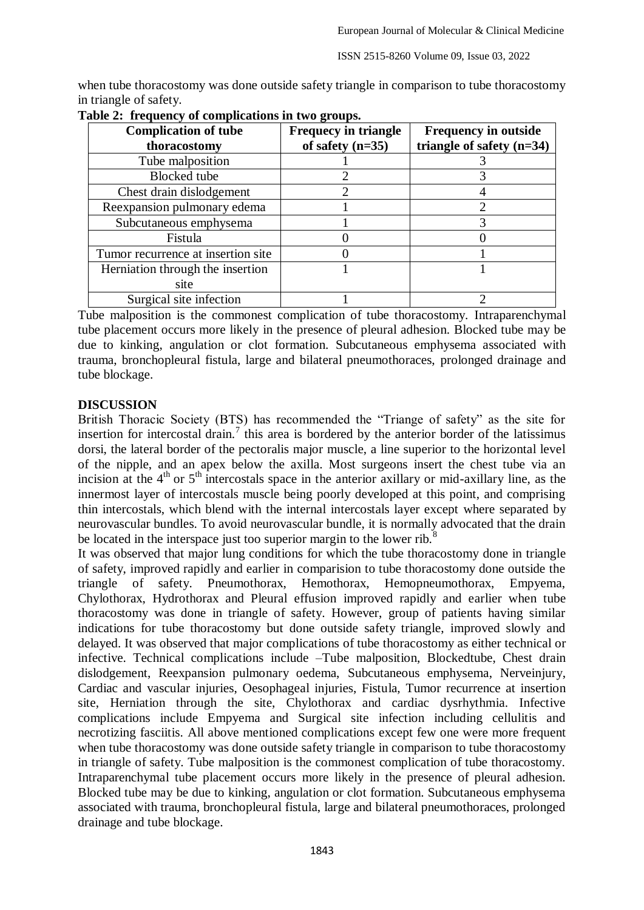when tube thoracostomy was done outside safety triangle in comparison to tube thoracostomy in triangle of safety.

| $\frac{1}{2}$ and $\frac{1}{2}$ and $\frac{1}{2}$ are completed to the $\frac{1}{2}$ of $\frac{1}{2}$ |                                                   |                                                            |  |  |  |  |
|-------------------------------------------------------------------------------------------------------|---------------------------------------------------|------------------------------------------------------------|--|--|--|--|
| <b>Complication of tube</b><br>thoracostomy                                                           | <b>Frequecy in triangle</b><br>of safety $(n=35)$ | <b>Frequency in outside</b><br>triangle of safety $(n=34)$ |  |  |  |  |
| Tube malposition                                                                                      |                                                   |                                                            |  |  |  |  |
| <b>Blocked</b> tube                                                                                   |                                                   |                                                            |  |  |  |  |
| Chest drain dislodgement                                                                              |                                                   |                                                            |  |  |  |  |
| Reexpansion pulmonary edema                                                                           |                                                   |                                                            |  |  |  |  |
| Subcutaneous emphysema                                                                                |                                                   |                                                            |  |  |  |  |
| Fistula                                                                                               |                                                   |                                                            |  |  |  |  |
| Tumor recurrence at insertion site                                                                    |                                                   |                                                            |  |  |  |  |
| Herniation through the insertion                                                                      |                                                   |                                                            |  |  |  |  |
| site                                                                                                  |                                                   |                                                            |  |  |  |  |
| Surgical site infection                                                                               |                                                   |                                                            |  |  |  |  |

|  |  | Table 2: frequency of complications in two groups. |
|--|--|----------------------------------------------------|
|  |  |                                                    |

Tube malposition is the commonest complication of tube thoracostomy. Intraparenchymal tube placement occurs more likely in the presence of pleural adhesion. Blocked tube may be due to kinking, angulation or clot formation. Subcutaneous emphysema associated with trauma, bronchopleural fistula, large and bilateral pneumothoraces, prolonged drainage and tube blockage.

#### **DISCUSSION**

British Thoracic Society (BTS) has recommended the "Triange of safety" as the site for insertion for intercostal drain.<sup>7</sup> this area is bordered by the anterior border of the latissimus dorsi, the lateral border of the pectoralis major muscle, a line superior to the horizontal level of the nipple, and an apex below the axilla. Most surgeons insert the chest tube via an incision at the  $4<sup>th</sup>$  or  $5<sup>th</sup>$  intercostals space in the anterior axillary or mid-axillary line, as the innermost layer of intercostals muscle being poorly developed at this point, and comprising thin intercostals, which blend with the internal intercostals layer except where separated by neurovascular bundles. To avoid neurovascular bundle, it is normally advocated that the drain be located in the interspace just too superior margin to the lower rib.<sup>8</sup>

It was observed that major lung conditions for which the tube thoracostomy done in triangle of safety, improved rapidly and earlier in comparision to tube thoracostomy done outside the triangle of safety. Pneumothorax, Hemothorax, Hemopneumothorax, Empyema, Chylothorax, Hydrothorax and Pleural effusion improved rapidly and earlier when tube thoracostomy was done in triangle of safety. However, group of patients having similar indications for tube thoracostomy but done outside safety triangle, improved slowly and delayed. It was observed that major complications of tube thoracostomy as either technical or infective. Technical complications include –Tube malposition, Blockedtube, Chest drain dislodgement, Reexpansion pulmonary oedema, Subcutaneous emphysema, Nerveinjury, Cardiac and vascular injuries, Oesophageal injuries, Fistula, Tumor recurrence at insertion site, Herniation through the site, Chylothorax and cardiac dysrhythmia. Infective complications include Empyema and Surgical site infection including cellulitis and necrotizing fasciitis. All above mentioned complications except few one were more frequent when tube thoracostomy was done outside safety triangle in comparison to tube thoracostomy in triangle of safety. Tube malposition is the commonest complication of tube thoracostomy. Intraparenchymal tube placement occurs more likely in the presence of pleural adhesion. Blocked tube may be due to kinking, angulation or clot formation. Subcutaneous emphysema associated with trauma, bronchopleural fistula, large and bilateral pneumothoraces, prolonged drainage and tube blockage.